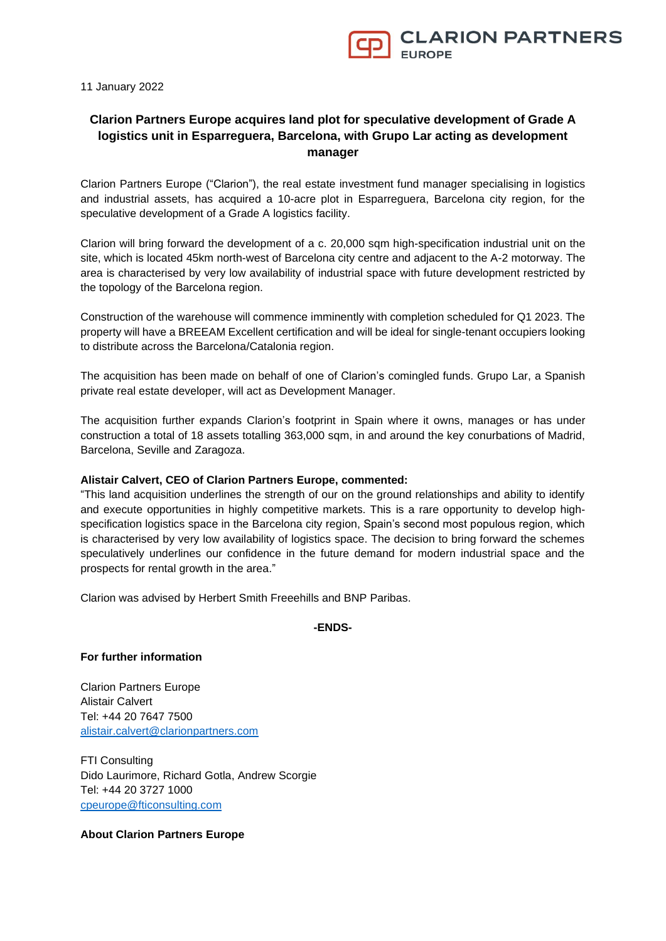

11 January 2022

# **Clarion Partners Europe acquires land plot for speculative development of Grade A logistics unit in Esparreguera, Barcelona, with Grupo Lar acting as development manager**

Clarion Partners Europe ("Clarion"), the real estate investment fund manager specialising in logistics and industrial assets, has acquired a 10-acre plot in Esparreguera, Barcelona city region, for the speculative development of a Grade A logistics facility.

Clarion will bring forward the development of a c. 20,000 sqm high-specification industrial unit on the site, which is located 45km north-west of Barcelona city centre and adjacent to the A-2 motorway. The area is characterised by very low availability of industrial space with future development restricted by the topology of the Barcelona region.

Construction of the warehouse will commence imminently with completion scheduled for Q1 2023. The property will have a BREEAM Excellent certification and will be ideal for single-tenant occupiers looking to distribute across the Barcelona/Catalonia region.

The acquisition has been made on behalf of one of Clarion's comingled funds. Grupo Lar, a Spanish private real estate developer, will act as Development Manager.

The acquisition further expands Clarion's footprint in Spain where it owns, manages or has under construction a total of 18 assets totalling 363,000 sqm, in and around the key conurbations of Madrid, Barcelona, Seville and Zaragoza.

### **Alistair Calvert, CEO of Clarion Partners Europe, commented:**

"This land acquisition underlines the strength of our on the ground relationships and ability to identify and execute opportunities in highly competitive markets. This is a rare opportunity to develop highspecification logistics space in the Barcelona city region, Spain's second most populous region, which is characterised by very low availability of logistics space. The decision to bring forward the schemes speculatively underlines our confidence in the future demand for modern industrial space and the prospects for rental growth in the area."

Clarion was advised by Herbert Smith Freeehills and BNP Paribas.

### **-ENDS-**

# **For further information**

Clarion Partners Europe Alistair Calvert Tel: +44 20 7647 7500 [alistair.calvert@clarionpartners.com](mailto:alistair.calvert@clarionpartners.com)

FTI Consulting Dido Laurimore, Richard Gotla, Andrew Scorgie Tel: +44 20 3727 1000 [cpeurope@fticonsulting.com](mailto:cpeurope@fticonsulting.com)

# **About Clarion Partners Europe**